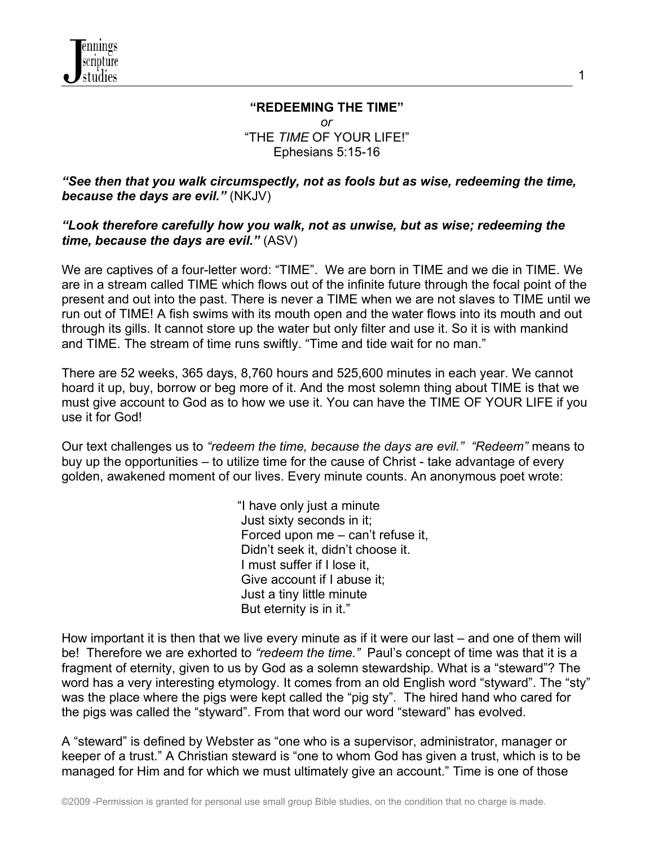

#### **"REDEEMING THE TIME"** *or* "THE *TIME* OF YOUR LIFE!" Ephesians 5:15-16

1

*"See then that you walk circumspectly, not as fools but as wise, redeeming the time, because the days are evil."* (NKJV)

### *"Look therefore carefully how you walk, not as unwise, but as wise; redeeming the time, because the days are evil."* (ASV)

We are captives of a four-letter word: "TIME". We are born in TIME and we die in TIME. We are in a stream called TIME which flows out of the infinite future through the focal point of the present and out into the past. There is never a TIME when we are not slaves to TIME until we run out of TIME! A fish swims with its mouth open and the water flows into its mouth and out through its gills. It cannot store up the water but only filter and use it. So it is with mankind and TIME. The stream of time runs swiftly. "Time and tide wait for no man."

There are 52 weeks, 365 days, 8,760 hours and 525,600 minutes in each year. We cannot hoard it up, buy, borrow or beg more of it. And the most solemn thing about TIME is that we must give account to God as to how we use it. You can have the TIME OF YOUR LIFE if you use it for God!

Our text challenges us to *"redeem the time, because the days are evil." "Redeem"* means to buy up the opportunities – to utilize time for the cause of Christ - take advantage of every golden, awakened moment of our lives. Every minute counts. An anonymous poet wrote:

> "I have only just a minute Just sixty seconds in it; Forced upon me – can't refuse it, Didn't seek it, didn't choose it. I must suffer if I lose it, Give account if I abuse it; Just a tiny little minute But eternity is in it."

How important it is then that we live every minute as if it were our last – and one of them will be! Therefore we are exhorted to *"redeem the time."* Paul's concept of time was that it is a fragment of eternity, given to us by God as a solemn stewardship. What is a "steward"? The word has a very interesting etymology. It comes from an old English word "styward". The "sty" was the place where the pigs were kept called the "pig sty". The hired hand who cared for the pigs was called the "styward". From that word our word "steward" has evolved.

A "steward" is defined by Webster as "one who is a supervisor, administrator, manager or keeper of a trust." A Christian steward is "one to whom God has given a trust, which is to be managed for Him and for which we must ultimately give an account." Time is one of those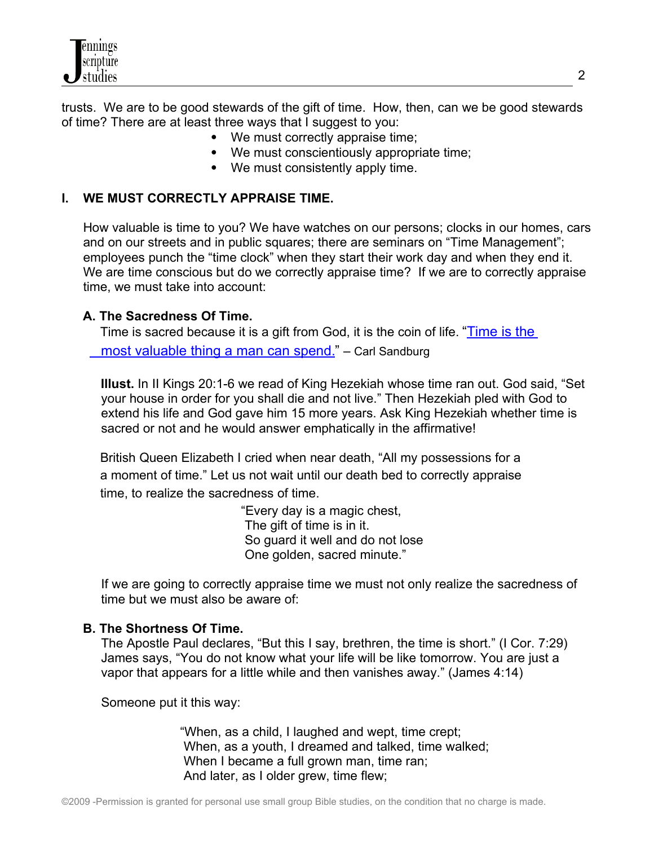

trusts. We are to be good stewards of the gift of time. How, then, can we be good stewards of time? There are at least three ways that I suggest to you:

- We must correctly appraise time;
- We must conscientiously appropriate time;
- We must consistently apply time.

# **I. WE MUST CORRECTLY APPRAISE TIME.**

 How valuable is time to you? We have watches on our persons; clocks in our homes, cars and on our streets and in public squares; there are seminars on "Time Management"; employees punch the "time clock" when they start their work day and when they end it. We are time conscious but do we correctly appraise time? If we are to correctly appraise time, we must take into account:

# **A. The Sacredness Of Time.**

 Time is sacred because it is a gift from God, it is the coin of life. ["Time is the](http://www.quotationspage.com/quote/24278.html) most valuable thing a man can spend." - Carl Sandburg

 **Illust.** In II Kings 20:1-6 we read of King Hezekiah whose time ran out. God said, "Set your house in order for you shall die and not live." Then Hezekiah pled with God to extend his life and God gave him 15 more years. Ask King Hezekiah whether time is sacred or not and he would answer emphatically in the affirmative!

 British Queen Elizabeth I cried when near death, "All my possessions for a a moment of time." Let us not wait until our death bed to correctly appraise time, to realize the sacredness of time.

> "Every day is a magic chest, The gift of time is in it. So guard it well and do not lose One golden, sacred minute."

 If we are going to correctly appraise time we must not only realize the sacredness of time but we must also be aware of:

### **B. The Shortness Of Time.**

 The Apostle Paul declares, "But this I say, brethren, the time is short." (I Cor. 7:29) James says, "You do not know what your life will be like tomorrow. You are just a vapor that appears for a little while and then vanishes away." (James 4:14)

Someone put it this way:

 "When, as a child, I laughed and wept, time crept; When, as a youth, I dreamed and talked, time walked; When I became a full grown man, time ran; And later, as I older grew, time flew;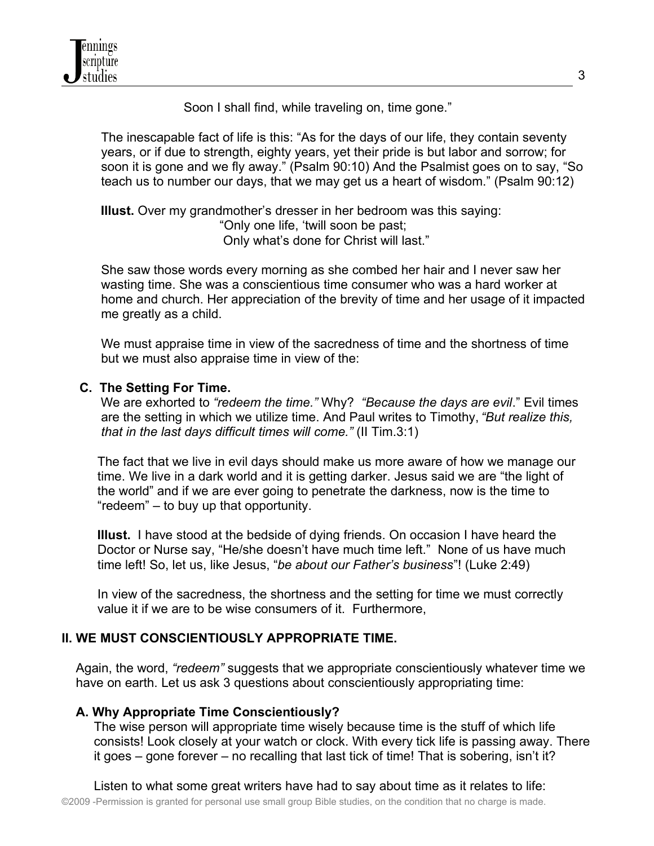Soon I shall find, while traveling on, time gone."

 The inescapable fact of life is this: "As for the days of our life, they contain seventy years, or if due to strength, eighty years, yet their pride is but labor and sorrow; for soon it is gone and we fly away." (Psalm 90:10) And the Psalmist goes on to say, "So teach us to number our days, that we may get us a heart of wisdom." (Psalm 90:12)

 **Illust.** Over my grandmother's dresser in her bedroom was this saying: "Only one life, 'twill soon be past; Only what's done for Christ will last."

 She saw those words every morning as she combed her hair and I never saw her wasting time. She was a conscientious time consumer who was a hard worker at home and church. Her appreciation of the brevity of time and her usage of it impacted me greatly as a child.

 We must appraise time in view of the sacredness of time and the shortness of time but we must also appraise time in view of the:

# **C. The Setting For Time.**

We are exhorted to *"redeem the time."* Why? *"Because the days are evil*." Evil times are the setting in which we utilize time. And Paul writes to Timothy, *"But realize this, that in the last days difficult times will come."* (II Tim.3:1)

 The fact that we live in evil days should make us more aware of how we manage our time. We live in a dark world and it is getting darker. Jesus said we are "the light of the world" and if we are ever going to penetrate the darkness, now is the time to "redeem" – to buy up that opportunity.

 **Illust.** I have stood at the bedside of dying friends. On occasion I have heard the Doctor or Nurse say, "He/she doesn't have much time left." None of us have much time left! So, let us, like Jesus, "*be about our Father's business*"! (Luke 2:49)

 In view of the sacredness, the shortness and the setting for time we must correctly value it if we are to be wise consumers of it. Furthermore,

# **II. WE MUST CONSCIENTIOUSLY APPROPRIATE TIME.**

 Again, the word, *"redeem"* suggests that we appropriate conscientiously whatever time we have on earth. Let us ask 3 questions about conscientiously appropriating time:

### **A. Why Appropriate Time Conscientiously?**

 The wise person will appropriate time wisely because time is the stuff of which life consists! Look closely at your watch or clock. With every tick life is passing away. There it goes – gone forever – no recalling that last tick of time! That is sobering, isn't it?

 Listen to what some great writers have had to say about time as it relates to life: ©2009 -Permission is granted for personal use small group Bible studies, on the condition that no charge is made.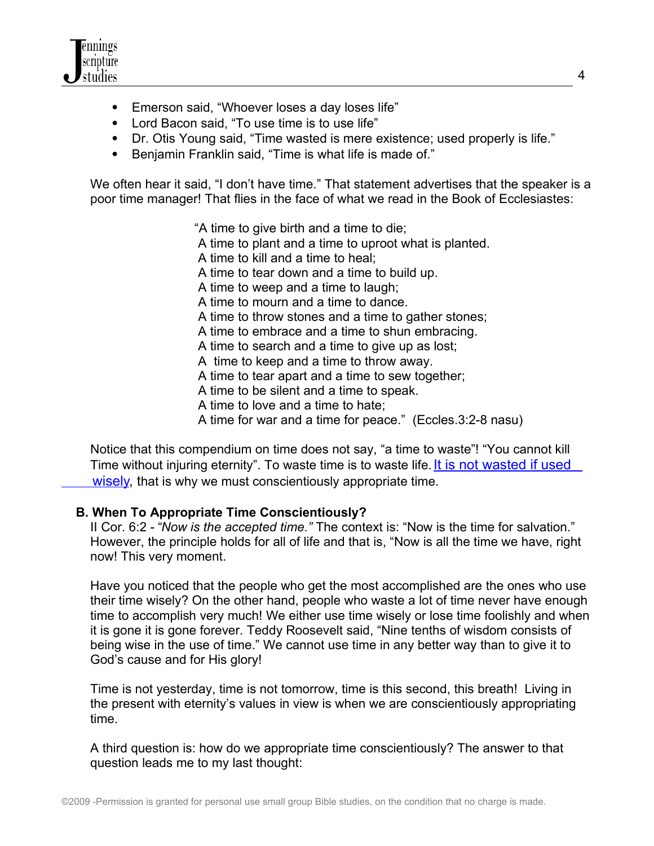

- Emerson said, "Whoever loses a day loses life"
- Lord Bacon said, "To use time is to use life"
- Dr. Otis Young said, "Time wasted is mere existence; used properly is life."
- Benjamin Franklin said, "Time is what life is made of."

We often hear it said, "I don't have time." That statement advertises that the speaker is a poor time manager! That flies in the face of what we read in the Book of Ecclesiastes:

"A time to give birth and a time to die;

A time to plant and a time to uproot what is planted.

- A time to kill and a time to heal;
- A time to tear down and a time to build up.
- A time to weep and a time to laugh;
- A time to mourn and a time to dance.
- A time to throw stones and a time to gather stones;
- A time to embrace and a time to shun embracing.
- A time to search and a time to give up as lost;
- A time to keep and a time to throw away.
- A time to tear apart and a time to sew together;
- A time to be silent and a time to speak.
- A time to love and a time to hate;
- A time for war and a time for peace." (Eccles.3:2-8 nasu)

 Notice that this compendium on time does not say, "a time to waste"! "You cannot kill Time without injuring eternity". To waste time is to waste life. It is not wasted if used wisely, that is why we must conscientiously appropriate time.

### **B. When To Appropriate Time Conscientiously?**

 II Cor. 6:2 - "*Now is the accepted time."* The context is: "Now is the time for salvation." However, the principle holds for all of life and that is, "Now is all the time we have, right now! This very moment.

 Have you noticed that the people who get the most accomplished are the ones who use their time wisely? On the other hand, people who waste a lot of time never have enough time to accomplish very much! We either use time wisely or lose time foolishly and when it is gone it is gone forever. Teddy Roosevelt said, "Nine tenths of wisdom consists of being wise in the use of time." We cannot use time in any better way than to give it to God's cause and for His glory!

 Time is not yesterday, time is not tomorrow, time is this second, this breath! Living in the present with eternity's values in view is when we are conscientiously appropriating time.

 A third question is: how do we appropriate time conscientiously? The answer to that question leads me to my last thought: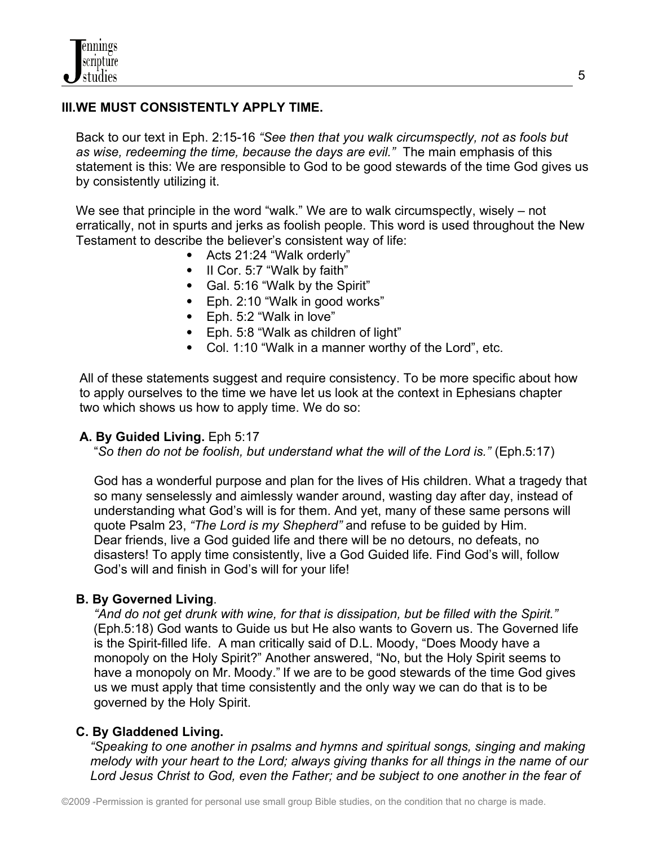# **III.WE MUST CONSISTENTLY APPLY TIME.**

 Back to our text in Eph. 2:15-16 *"See then that you walk circumspectly, not as fools but as wise, redeeming the time, because the days are evil."* The main emphasis of this statement is this: We are responsible to God to be good stewards of the time God gives us by consistently utilizing it.

We see that principle in the word "walk." We are to walk circumspectly, wisely – not erratically, not in spurts and jerks as foolish people. This word is used throughout the New Testament to describe the believer's consistent way of life:

- Acts 21:24 "Walk orderly"
- II Cor. 5:7 "Walk by faith"
- Gal. 5:16 "Walk by the Spirit"
- Eph. 2:10 "Walk in good works"
- Eph. 5:2 "Walk in love"
- Eph. 5:8 "Walk as children of light"
- Col. 1:10 "Walk in a manner worthy of the Lord", etc.

 All of these statements suggest and require consistency. To be more specific about how to apply ourselves to the time we have let us look at the context in Ephesians chapter two which shows us how to apply time. We do so:

### **A. By Guided Living.** Eph 5:17

"*So then do not be foolish, but understand what the will of the Lord is."* (Eph.5:17)

 God has a wonderful purpose and plan for the lives of His children. What a tragedy that so many senselessly and aimlessly wander around, wasting day after day, instead of understanding what God's will is for them. And yet, many of these same persons will quote Psalm 23, *"The Lord is my Shepherd"* and refuse to be guided by Him. Dear friends, live a God guided life and there will be no detours, no defeats, no disasters! To apply time consistently, live a God Guided life. Find God's will, follow God's will and finish in God's will for your life!

#### **B. By Governed Living**.

 *"And do not get drunk with wine, for that is dissipation, but be filled with the Spirit."* (Eph.5:18) God wants to Guide us but He also wants to Govern us. The Governed life is the Spirit-filled life. A man critically said of D.L. Moody, "Does Moody have a monopoly on the Holy Spirit?" Another answered, "No, but the Holy Spirit seems to have a monopoly on Mr. Moody." If we are to be good stewards of the time God gives us we must apply that time consistently and the only way we can do that is to be governed by the Holy Spirit.

#### **C. By Gladdened Living.**

 *"Speaking to one another in psalms and hymns and spiritual songs, singing and making melody with your heart to the Lord; always giving thanks for all things in the name of our Lord Jesus Christ to God, even the Father; and be subject to one another in the fear of*